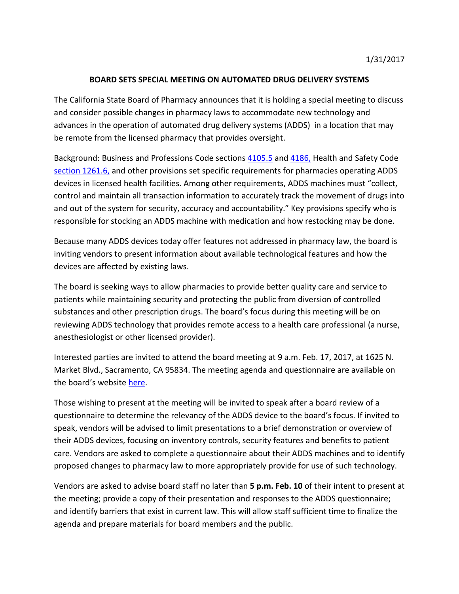## **BOARD SETS SPECIAL MEETING ON AUTOMATED DRUG DELIVERY SYSTEMS**

 The California State Board of Pharmacy announces that it is holding a special meeting to discuss advances in the operation of automated drug delivery systems (ADDS) in a location that may be remote from the licensed pharmacy that provides oversight. and consider possible changes in pharmacy laws to accommodate new technology and

[section 1261.6,](http://leginfo.legislature.ca.gov/faces/codes_displaySection.xhtml?sectionNum=1261.6.&lawCode=HSC) and other provisions set specific requirements for pharmacies operating ADDS Background: Business and Professions Code sections [4105.5](http://leginfo.legislature.ca.gov/faces/codes_displaySection.xhtml?sectionNum=4105.5&lawCode=BPC) and [4186,](http://leginfo.legislature.ca.gov/faces/codes_displaySection.xhtml?sectionNum=4186&lawCode=BPC) Health and Safety Code devices in licensed health facilities. Among other requirements, ADDS machines must "collect, control and maintain all transaction information to accurately track the movement of drugs into and out of the system for security, accuracy and accountability." Key provisions specify who is responsible for stocking an ADDS machine with medication and how restocking may be done.

 inviting vendors to present information about available technological features and how the devices are affected by existing laws. Because many ADDS devices today offer features not addressed in pharmacy law, the board is

 substances and other prescription drugs. The board's focus during this meeting will be on The board is seeking ways to allow pharmacies to provide better quality care and service to patients while maintaining security and protecting the public from diversion of controlled reviewing ADDS technology that provides remote access to a health care professional (a nurse, anesthesiologist or other licensed provider).

Interested parties are invited to attend the board meeting at 9 a.m. Feb. 17, 2017, at 1625 N. Market Blvd., Sacramento, CA 95834. The meeting agenda and questionnaire are available on the board's website [here.](http://www.pharmacy.ca.gov/about/meetings_full.shtml)

 questionnaire to determine the relevancy of the ADDS device to the board's focus. If invited to speak, vendors will be advised to limit presentations to a brief demonstration or overview of care. Vendors are asked to complete a questionnaire about their ADDS machines and to identify proposed changes to pharmacy law to more appropriately provide for use of such technology. Those wishing to present at the meeting will be invited to speak after a board review of a their ADDS devices, focusing on inventory controls, security features and benefits to patient

 and identify barriers that exist in current law. This will allow staff sufficient time to finalize the agenda and prepare materials for board members and the public. Vendors are asked to advise board staff no later than **5 p.m. Feb. 10** of their intent to present at the meeting; provide a copy of their presentation and responses to the ADDS questionnaire;